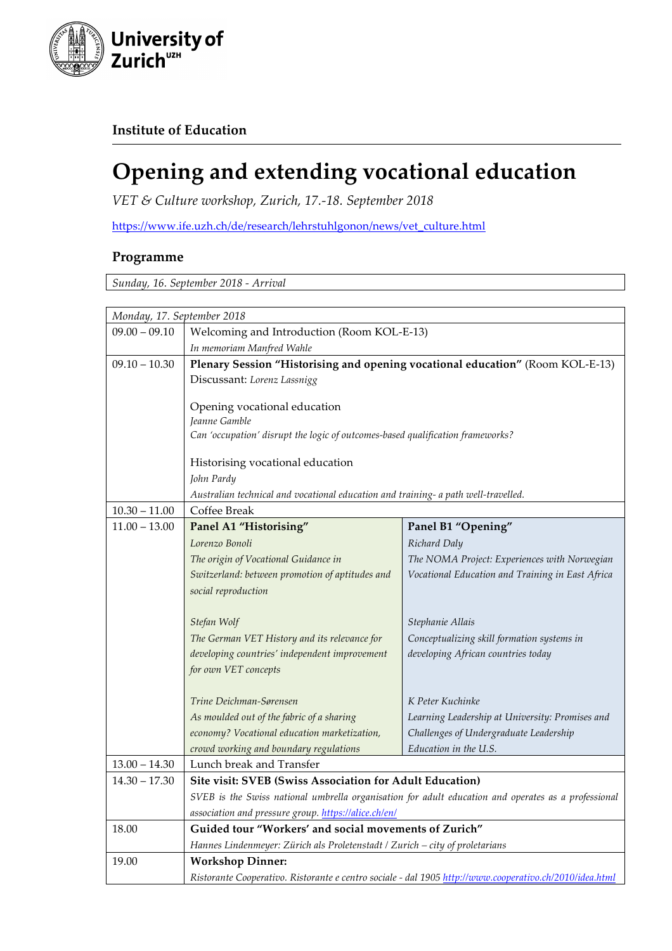

## **Institute of Education**

## **Opening and extending vocational education**

*VET & Culture workshop, Zurich, 17.-18. September 2018*

https://www.ife.uzh.ch/de/research/lehrstuhlgonon/news/vet\_culture.html

## **Programme**

*Sunday, 16. September 2018 - Arrival*

| Monday, 17. September 2018 |                                                                                                                                                             |                                                  |  |
|----------------------------|-------------------------------------------------------------------------------------------------------------------------------------------------------------|--------------------------------------------------|--|
| $09.00 - 09.10$            | Welcoming and Introduction (Room KOL-E-13)                                                                                                                  |                                                  |  |
|                            | In memoriam Manfred Wahle                                                                                                                                   |                                                  |  |
| $09.10 - 10.30$            | Plenary Session "Historising and opening vocational education" (Room KOL-E-13)                                                                              |                                                  |  |
|                            | Discussant: Lorenz Lassnigg                                                                                                                                 |                                                  |  |
|                            |                                                                                                                                                             |                                                  |  |
|                            | Opening vocational education                                                                                                                                |                                                  |  |
|                            | Jeanne Gamble<br>Can 'occupation' disrupt the logic of outcomes-based qualification frameworks?                                                             |                                                  |  |
|                            |                                                                                                                                                             |                                                  |  |
|                            | Historising vocational education                                                                                                                            |                                                  |  |
|                            | John Pardy                                                                                                                                                  |                                                  |  |
|                            | Australian technical and vocational education and training- a path well-travelled.                                                                          |                                                  |  |
| $10.30 - 11.00$            | Coffee Break                                                                                                                                                |                                                  |  |
| $11.00 - 13.00$            | Panel A1 "Historising"                                                                                                                                      | Panel B1 "Opening"                               |  |
|                            | Lorenzo Bonoli                                                                                                                                              | Richard Daly                                     |  |
|                            | The origin of Vocational Guidance in                                                                                                                        | The NOMA Project: Experiences with Norwegian     |  |
|                            | Switzerland: between promotion of aptitudes and                                                                                                             | Vocational Education and Training in East Africa |  |
|                            | social reproduction                                                                                                                                         |                                                  |  |
|                            | Stefan Wolf                                                                                                                                                 | Stephanie Allais                                 |  |
|                            | The German VET History and its relevance for                                                                                                                | Conceptualizing skill formation systems in       |  |
|                            | developing countries' independent improvement                                                                                                               | developing African countries today               |  |
|                            | for own VET concepts                                                                                                                                        |                                                  |  |
|                            | Trine Deichman-Sørensen                                                                                                                                     | K Peter Kuchinke                                 |  |
|                            | As moulded out of the fabric of a sharing                                                                                                                   | Learning Leadership at University: Promises and  |  |
|                            | economy? Vocational education marketization,                                                                                                                | Challenges of Undergraduate Leadership           |  |
|                            | crowd working and boundary regulations                                                                                                                      | Education in the U.S.                            |  |
| $13.00 - 14.30$            | Lunch break and Transfer                                                                                                                                    |                                                  |  |
| $14.30 - 17.30$            | Site visit: SVEB (Swiss Association for Adult Education)                                                                                                    |                                                  |  |
|                            | SVEB is the Swiss national umbrella organisation for adult education and operates as a professional<br>association and pressure group. https://alice.ch/en/ |                                                  |  |
|                            |                                                                                                                                                             |                                                  |  |
| 18.00                      | Guided tour "Workers' and social movements of Zurich"                                                                                                       |                                                  |  |
|                            | Hannes Lindenmeyer: Zürich als Proletenstadt / Zurich - city of proletarians                                                                                |                                                  |  |
| 19.00                      | <b>Workshop Dinner:</b>                                                                                                                                     |                                                  |  |
|                            | Ristorante Cooperativo. Ristorante e centro sociale - dal 1905 http://www.cooperativo.ch/2010/idea.html                                                     |                                                  |  |